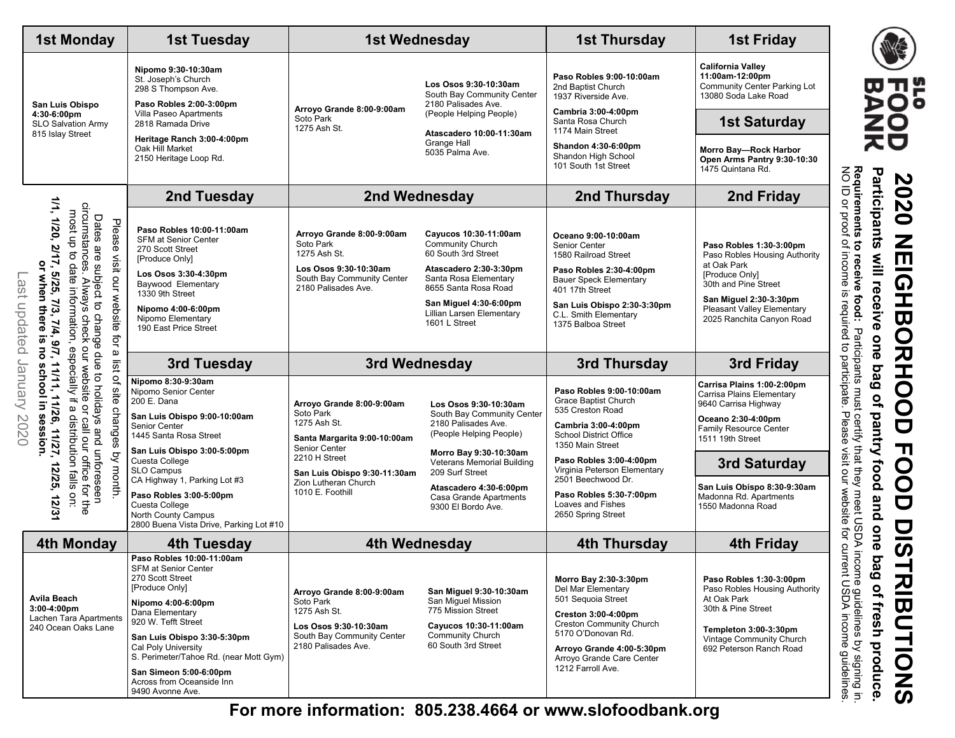| <b>California Valley</b><br>Nipomo 9:30-10:30am<br>11:00am-12:00pm<br>Paso Robles 9:00-10:00am<br>St. Joseph's Church<br>Los Osos 9:30-10:30am<br>Community Center Parking Lot<br>2nd Baptist Church<br>298 S Thompson Ave.<br>South Bay Community Center<br>13080 Soda Lake Road<br>1937 Riverside Ave.<br>Paso Robles 2:00-3:00pm<br>2180 Palisades Ave.<br>San Luis Obispo<br>Arroyo Grande 8:00-9:00am<br>Cambria 3:00-4:00pm<br>Villa Paseo Apartments<br>(People Helping People)<br>4:30-6:00pm<br>Soto Park<br><b>1st Saturday</b><br>Santa Rosa Church<br>2818 Ramada Drive<br><b>SLO Salvation Army</b><br>1275 Ash St.<br>1174 Main Street<br>Atascadero 10:00-11:30am<br>815 Islay Street<br>Heritage Ranch 3:00-4:00pm<br>Grange Hall<br>Shandon 4:30-6:00pm<br>Oak Hill Market<br>Morro Bay-Rock Harbor<br>5035 Palma Ave.<br>Shandon High School<br>2150 Heritage Loop Rd.<br>Open Arms Pantry 9:30-10:30<br>101 South 1st Street<br>1475 Quintana Rd.<br>2nd Tuesday<br>2nd Wednesday<br>2nd Thursday<br>2nd Friday<br>1/1,<br>circumstance<br>most up to<br>Dates<br>1/20,<br>Please<br>Paso Robles 10:00-11:00am<br>Arroyo Grande 8:00-9:00am<br>Cavucos 10:30-11:00am<br>Oceano 9:00-10:00am<br><b>SFM at Senior Center</b><br><b>Community Church</b><br>Soto Park<br>Senior Center<br>Paso Robles 1:30-3:00pm<br>2/17,<br>are<br>270 Scott Street<br>60 South 3rd Street<br>1275 Ash St.<br>1580 Railroad Street<br>Paso Robles Housing Authority<br>visit our website<br>[Produce Only]<br>or when there<br>at Oak Park<br>date<br>subject to change due<br>Los Osos 9:30-10:30am<br>Atascadero 2:30-3:30pm<br>Paso Robles 2:30-4:00pm<br>5/25,<br>Los Osos 3:30-4:30pm<br>[Produce Only]<br>Last updated January<br>South Bay Community Center<br>Santa Rosa Elementary<br><b>Bauer Speck Elementary</b><br><b>Always</b><br>Baywood Elementary<br>30th and Pine Street<br>8655 Santa Rosa Road<br>2180 Palisades Ave.<br>information,<br>401 17th Street<br>1330 9th Street<br>San Miguel 2:30-3:30pm<br>្ល<br>San Miguel 4:30-6:00pm<br>San Luis Obispo 2:30-3:30pm<br>Nipomo 4:00-6:00pm<br><b>Pleasant Valley Elementary</b><br>Lillian Larsen Elementary<br>C.L. Smith Elementary<br>check<br>Nipomo Elementary<br>2025 Ranchita Canyon Road<br>7/4,<br>1601 L Street<br>1375 Balboa Street<br>190 East Price Street<br>ġ<br><u>e</u><br>9/7,<br>especially if<br><b>DU</b><br>ā<br>a list<br>3rd Thursday<br>3rd Tuesday<br>3rd Wednesday<br>3rd Friday<br>11/11,<br>school in<br>website<br>to holidays<br>Nipomo 8:30-9:30am<br>Carrisa Plains 1:00-2:00pm<br>site<br>Nipomo Senior Center<br>Paso Robles 9:00-10:00am<br>Carrisa Plains Elementary<br>11/26,<br>Grace Baptist Church<br>200 E. Dana<br>Arroyo Grande 8:00-9:00am<br>9640 Carrisa Highway<br>Los Osos 9:30-10:30am<br>a distribution<br>$\vec{a}$<br>changes<br>535 Creston Road<br>Soto Park<br>South Bay Community Center<br>2020<br>ses<br>San Luis Obispo 9:00-10:00am<br>Oceano 2:30-4:00pm<br>/s and unforeseen<br>call our office for the<br>1275 Ash St.<br>2180 Palisades Ave.<br>Cambria 3:00-4:00pm<br>Senior Center<br>Family Resource Center<br>11/27<br>(People Helping People)<br><b>School District Office</b><br>1445 Santa Rosa Street<br>Santa Margarita 9:00-10:00am<br>1511 19th Street<br>1350 Main Street<br>Senior Center<br>San Luis Obispo 3:00-5:00pm<br>Morro Bay 9:30-10:30am<br>by month.<br>2210 H Street<br>Paso Robles 3:00-4:00pm<br>Cuesta College<br>3rd Saturday<br>Veterans Memorial Building<br>Virginia Peterson Elementary<br>2/25<br>SLO Campus<br>209 Surf Street<br>slis<br>San Luis Obispo 9:30-11:30am<br>2501 Beechwood Dr.<br>CA Highway 1, Parking Lot #3<br>Zion Lutheran Church<br>San Luis Obispo 8:30-9:30am<br>Atascadero 4:30-6:00pm<br>1010 E. Foothill<br>on:<br>Paso Robles 5:30-7:00pm<br>Paso Robles 3:00-5:00pm<br>Madonna Rd. Apartments<br>12/31<br>Casa Grande Apartments<br>Loaves and Fishes<br>Cuesta College<br>1550 Madonna Road<br>9300 El Bordo Ave.<br>North County Campus<br>2650 Spring Street<br>2800 Buena Vista Drive, Parking Lot #10<br>4th Wednesday<br><b>4th Thursday</b><br><b>4th Friday</b><br><b>4th Monday</b><br>4th Tuesday<br>Paso Robles 10:00-11:00am<br>SFM at Senior Center<br>270 Scott Street<br>Morro Bay 2:30-3:30pm<br>Paso Robles 1:30-3:00pm<br>[Produce Only]<br>Del Mar Elementary<br>San Miguel 9:30-10:30am<br>Arroyo Grande 8:00-9:00am<br>Avila Beach<br>501 Sequoia Street<br>At Oak Park<br>San Miquel Mission<br>Soto Park<br>Nipomo 4:00-6:00pm<br>$3:00-4:00$ pm<br>30th & Pine Street<br>775 Mission Street<br>1275 Ash St.<br>Dana Elementary<br>Creston 3:00-4:00pm<br>Lachen Tara Apartments<br>920 W. Tefft Street<br><b>Creston Community Church</b><br>Los Osos 9:30-10:30am<br>Cayucos 10:30-11:00am<br>240 Ocean Oaks Lane<br>Templeton 3:00-3:30pm<br>5170 O'Donovan Rd.<br>Community Church<br>South Bay Community Center<br>San Luis Obispo 3:30-5:30pm<br>Vintage Community Church<br>60 South 3rd Street<br>2180 Palisades Ave.<br>Cal Poly University<br>692 Peterson Ranch Road<br>Arroyo Grande 4:00-5:30pm<br>S. Perimeter/Tahoe Rd. (near Mott Gym)<br>Arroyo Grande Care Center | <b>1st Monday</b> |  | <b>1st Tuesday</b> | 1st Wednesday |  | <b>1st Thursday</b> | <b>1st Friday</b>             |  |  |
|-------------------------------------------------------------------------------------------------------------------------------------------------------------------------------------------------------------------------------------------------------------------------------------------------------------------------------------------------------------------------------------------------------------------------------------------------------------------------------------------------------------------------------------------------------------------------------------------------------------------------------------------------------------------------------------------------------------------------------------------------------------------------------------------------------------------------------------------------------------------------------------------------------------------------------------------------------------------------------------------------------------------------------------------------------------------------------------------------------------------------------------------------------------------------------------------------------------------------------------------------------------------------------------------------------------------------------------------------------------------------------------------------------------------------------------------------------------------------------------------------------------------------------------------------------------------------------------------------------------------------------------------------------------------------------------------------------------------------------------------------------------------------------------------------------------------------------------------------------------------------------------------------------------------------------------------------------------------------------------------------------------------------------------------------------------------------------------------------------------------------------------------------------------------------------------------------------------------------------------------------------------------------------------------------------------------------------------------------------------------------------------------------------------------------------------------------------------------------------------------------------------------------------------------------------------------------------------------------------------------------------------------------------------------------------------------------------------------------------------------------------------------------------------------------------------------------------------------------------------------------------------------------------------------------------------------------------------------------------------------------------------------------------------------------------------------------------------------------------------------------------------------------------------------------------------------------------------------------------------------------------------------------------------------------------------------------------------------------------------------------------------------------------------------------------------------------------------------------------------------------------------------------------------------------------------------------------------------------------------------------------------------------------------------------------------------------------------------------------------------------------------------------------------------------------------------------------------------------------------------------------------------------------------------------------------------------------------------------------------------------------------------------------------------------------------------------------------------------------------------------------------------------------------------------------------------------------------------------------------------------------------------------------------------------------------------------------------------------------------------------------------------------------------------------------------------------------------------------------------------------------------------------------------------------------------------------------------------------------------------------------------------------------------------------------------------------------------------------------------------------------------------------------------------------------------------------------------------------------------------------------------------------------------------------------------------------------------------------------------------------------------------------------------------------------------------------------------------------------------------------------------------------------------------------------------------------------------------|-------------------|--|--------------------|---------------|--|---------------------|-------------------------------|--|--|
|                                                                                                                                                                                                                                                                                                                                                                                                                                                                                                                                                                                                                                                                                                                                                                                                                                                                                                                                                                                                                                                                                                                                                                                                                                                                                                                                                                                                                                                                                                                                                                                                                                                                                                                                                                                                                                                                                                                                                                                                                                                                                                                                                                                                                                                                                                                                                                                                                                                                                                                                                                                                                                                                                                                                                                                                                                                                                                                                                                                                                                                                                                                                                                                                                                                                                                                                                                                                                                                                                                                                                                                                                                                                                                                                                                                                                                                                                                                                                                                                                                                                                                                                                                                                                                                                                                                                                                                                                                                                                                                                                                                                                                                                                                                                                                                                                                                                                                                                                                                                                                                                                                                                                                                                                   |                   |  |                    |               |  |                     |                               |  |  |
|                                                                                                                                                                                                                                                                                                                                                                                                                                                                                                                                                                                                                                                                                                                                                                                                                                                                                                                                                                                                                                                                                                                                                                                                                                                                                                                                                                                                                                                                                                                                                                                                                                                                                                                                                                                                                                                                                                                                                                                                                                                                                                                                                                                                                                                                                                                                                                                                                                                                                                                                                                                                                                                                                                                                                                                                                                                                                                                                                                                                                                                                                                                                                                                                                                                                                                                                                                                                                                                                                                                                                                                                                                                                                                                                                                                                                                                                                                                                                                                                                                                                                                                                                                                                                                                                                                                                                                                                                                                                                                                                                                                                                                                                                                                                                                                                                                                                                                                                                                                                                                                                                                                                                                                                                   |                   |  |                    |               |  |                     |                               |  |  |
|                                                                                                                                                                                                                                                                                                                                                                                                                                                                                                                                                                                                                                                                                                                                                                                                                                                                                                                                                                                                                                                                                                                                                                                                                                                                                                                                                                                                                                                                                                                                                                                                                                                                                                                                                                                                                                                                                                                                                                                                                                                                                                                                                                                                                                                                                                                                                                                                                                                                                                                                                                                                                                                                                                                                                                                                                                                                                                                                                                                                                                                                                                                                                                                                                                                                                                                                                                                                                                                                                                                                                                                                                                                                                                                                                                                                                                                                                                                                                                                                                                                                                                                                                                                                                                                                                                                                                                                                                                                                                                                                                                                                                                                                                                                                                                                                                                                                                                                                                                                                                                                                                                                                                                                                                   |                   |  |                    |               |  |                     |                               |  |  |
|                                                                                                                                                                                                                                                                                                                                                                                                                                                                                                                                                                                                                                                                                                                                                                                                                                                                                                                                                                                                                                                                                                                                                                                                                                                                                                                                                                                                                                                                                                                                                                                                                                                                                                                                                                                                                                                                                                                                                                                                                                                                                                                                                                                                                                                                                                                                                                                                                                                                                                                                                                                                                                                                                                                                                                                                                                                                                                                                                                                                                                                                                                                                                                                                                                                                                                                                                                                                                                                                                                                                                                                                                                                                                                                                                                                                                                                                                                                                                                                                                                                                                                                                                                                                                                                                                                                                                                                                                                                                                                                                                                                                                                                                                                                                                                                                                                                                                                                                                                                                                                                                                                                                                                                                                   |                   |  |                    |               |  |                     |                               |  |  |
|                                                                                                                                                                                                                                                                                                                                                                                                                                                                                                                                                                                                                                                                                                                                                                                                                                                                                                                                                                                                                                                                                                                                                                                                                                                                                                                                                                                                                                                                                                                                                                                                                                                                                                                                                                                                                                                                                                                                                                                                                                                                                                                                                                                                                                                                                                                                                                                                                                                                                                                                                                                                                                                                                                                                                                                                                                                                                                                                                                                                                                                                                                                                                                                                                                                                                                                                                                                                                                                                                                                                                                                                                                                                                                                                                                                                                                                                                                                                                                                                                                                                                                                                                                                                                                                                                                                                                                                                                                                                                                                                                                                                                                                                                                                                                                                                                                                                                                                                                                                                                                                                                                                                                                                                                   |                   |  |                    |               |  |                     |                               |  |  |
|                                                                                                                                                                                                                                                                                                                                                                                                                                                                                                                                                                                                                                                                                                                                                                                                                                                                                                                                                                                                                                                                                                                                                                                                                                                                                                                                                                                                                                                                                                                                                                                                                                                                                                                                                                                                                                                                                                                                                                                                                                                                                                                                                                                                                                                                                                                                                                                                                                                                                                                                                                                                                                                                                                                                                                                                                                                                                                                                                                                                                                                                                                                                                                                                                                                                                                                                                                                                                                                                                                                                                                                                                                                                                                                                                                                                                                                                                                                                                                                                                                                                                                                                                                                                                                                                                                                                                                                                                                                                                                                                                                                                                                                                                                                                                                                                                                                                                                                                                                                                                                                                                                                                                                                                                   |                   |  |                    |               |  |                     |                               |  |  |
|                                                                                                                                                                                                                                                                                                                                                                                                                                                                                                                                                                                                                                                                                                                                                                                                                                                                                                                                                                                                                                                                                                                                                                                                                                                                                                                                                                                                                                                                                                                                                                                                                                                                                                                                                                                                                                                                                                                                                                                                                                                                                                                                                                                                                                                                                                                                                                                                                                                                                                                                                                                                                                                                                                                                                                                                                                                                                                                                                                                                                                                                                                                                                                                                                                                                                                                                                                                                                                                                                                                                                                                                                                                                                                                                                                                                                                                                                                                                                                                                                                                                                                                                                                                                                                                                                                                                                                                                                                                                                                                                                                                                                                                                                                                                                                                                                                                                                                                                                                                                                                                                                                                                                                                                                   |                   |  |                    |               |  |                     |                               |  |  |
|                                                                                                                                                                                                                                                                                                                                                                                                                                                                                                                                                                                                                                                                                                                                                                                                                                                                                                                                                                                                                                                                                                                                                                                                                                                                                                                                                                                                                                                                                                                                                                                                                                                                                                                                                                                                                                                                                                                                                                                                                                                                                                                                                                                                                                                                                                                                                                                                                                                                                                                                                                                                                                                                                                                                                                                                                                                                                                                                                                                                                                                                                                                                                                                                                                                                                                                                                                                                                                                                                                                                                                                                                                                                                                                                                                                                                                                                                                                                                                                                                                                                                                                                                                                                                                                                                                                                                                                                                                                                                                                                                                                                                                                                                                                                                                                                                                                                                                                                                                                                                                                                                                                                                                                                                   |                   |  |                    |               |  |                     |                               |  |  |
| San Simeon 5:00-6:00pm<br>Across from Oceanside Inn                                                                                                                                                                                                                                                                                                                                                                                                                                                                                                                                                                                                                                                                                                                                                                                                                                                                                                                                                                                                                                                                                                                                                                                                                                                                                                                                                                                                                                                                                                                                                                                                                                                                                                                                                                                                                                                                                                                                                                                                                                                                                                                                                                                                                                                                                                                                                                                                                                                                                                                                                                                                                                                                                                                                                                                                                                                                                                                                                                                                                                                                                                                                                                                                                                                                                                                                                                                                                                                                                                                                                                                                                                                                                                                                                                                                                                                                                                                                                                                                                                                                                                                                                                                                                                                                                                                                                                                                                                                                                                                                                                                                                                                                                                                                                                                                                                                                                                                                                                                                                                                                                                                                                               |                   |  |                    |               |  | 1212 Farroll Ave.   | Paso Robles Housing Authority |  |  |

**For more information: 805.238.4664 or www.slofoodbank.org**